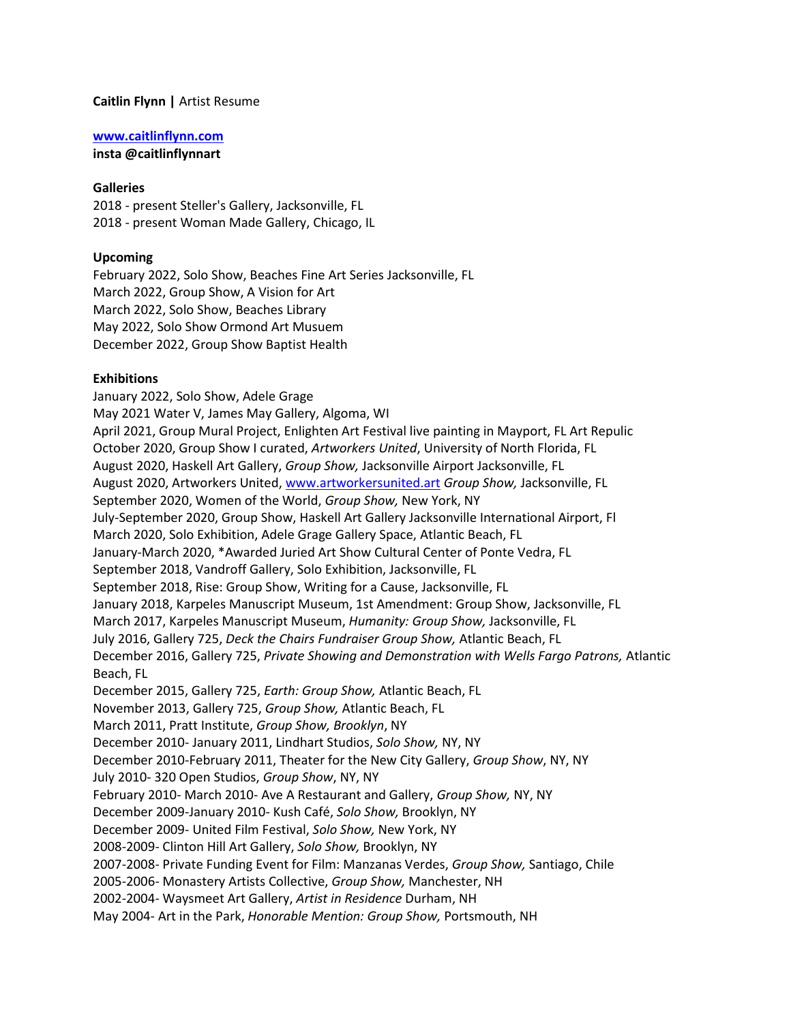### **Caitlin Flynn |** Artist Resume

#### **[www.caitlinflynn.com](http://www.caitlinflynn.com/)**

**insta @caitlinflynnart**

### **Galleries**

2018 - present Steller's Gallery, Jacksonville, FL 2018 - present Woman Made Gallery, Chicago, IL

### **Upcoming**

February 2022, Solo Show, Beaches Fine Art Series Jacksonville, FL March 2022, Group Show, A Vision for Art March 2022, Solo Show, Beaches Library May 2022, Solo Show Ormond Art Musuem December 2022, Group Show Baptist Health

### **Exhibitions**

January 2022, Solo Show, Adele Grage May 2021 Water V, James May Gallery, Algoma, WI April 2021, Group Mural Project, Enlighten Art Festival live painting in Mayport, FL Art Repulic October 2020, Group Show I curated, *Artworkers United*, University of North Florida, FL August 2020, Haskell Art Gallery, *Group Show,* Jacksonville Airport Jacksonville, FL August 2020, Artworkers United, [www.artworkersunited.art](http://www.artworkersunited.art/) *Group Show,* Jacksonville, FL September 2020, Women of the World, *Group Show,* New York, NY July-September 2020, Group Show, Haskell Art Gallery Jacksonville International Airport, Fl March 2020, Solo Exhibition, Adele Grage Gallery Space, Atlantic Beach, FL January-March 2020, \*Awarded Juried Art Show Cultural Center of Ponte Vedra, FL September 2018, Vandroff Gallery, Solo Exhibition, Jacksonville, FL September 2018, Rise: Group Show, Writing for a Cause, Jacksonville, FL January 2018, Karpeles Manuscript Museum, 1st Amendment: Group Show, Jacksonville, FL March 2017, Karpeles Manuscript Museum, *Humanity: Group Show,* Jacksonville, FL July 2016, Gallery 725, *Deck the Chairs Fundraiser Group Show,* Atlantic Beach, FL December 2016, Gallery 725, *Private Showing and Demonstration with Wells Fargo Patrons,* Atlantic Beach, FL December 2015, Gallery 725, *Earth: Group Show,* Atlantic Beach, FL November 2013, Gallery 725, *Group Show,* Atlantic Beach, FL March 2011, Pratt Institute, *Group Show, Brooklyn*, NY December 2010- January 2011, Lindhart Studios, *Solo Show,* NY, NY December 2010-February 2011, Theater for the New City Gallery, *Group Show*, NY, NY July 2010- 320 Open Studios, *Group Show*, NY, NY February 2010- March 2010- Ave A Restaurant and Gallery, *Group Show,* NY, NY December 2009-January 2010- Kush Café, *Solo Show,* Brooklyn, NY December 2009- United Film Festival, *Solo Show,* New York, NY 2008-2009- Clinton Hill Art Gallery, *Solo Show,* Brooklyn, NY 2007-2008- Private Funding Event for Film: Manzanas Verdes, *Group Show,* Santiago, Chile 2005-2006- Monastery Artists Collective, *Group Show,* Manchester, NH 2002-2004- Waysmeet Art Gallery, *Artist in Residence* Durham, NH May 2004- Art in the Park, *Honorable Mention: Group Show,* Portsmouth, NH